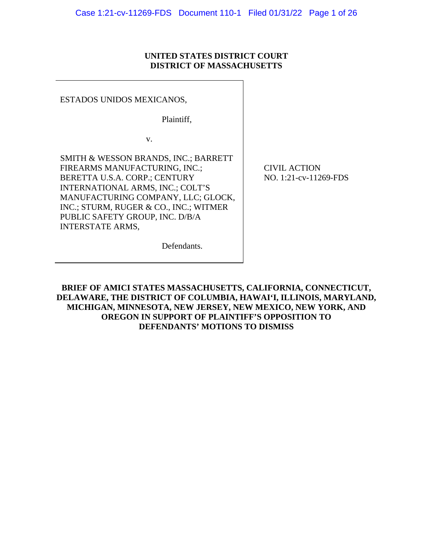## **UNITED STATES DISTRICT COURT DISTRICT OF MASSACHUSETTS**

ESTADOS UNIDOS MEXICANOS,

Plaintiff,

v.

SMITH & WESSON BRANDS, INC.; BARRETT FIREARMS MANUFACTURING, INC.; BERETTA U.S.A. CORP.; CENTURY INTERNATIONAL ARMS, INC.; COLT'S MANUFACTURING COMPANY, LLC; GLOCK, INC.; STURM, RUGER & CO., INC.; WITMER PUBLIC SAFETY GROUP, INC. D/B/A INTERSTATE ARMS,

CIVIL ACTION NO. 1:21-cv-11269-FDS

Defendants.

**BRIEF OF AMICI STATES MASSACHUSETTS, CALIFORNIA, CONNECTICUT, DELAWARE, THE DISTRICT OF COLUMBIA, HAWAI'I, ILLINOIS, MARYLAND, MICHIGAN, MINNESOTA, NEW JERSEY, NEW MEXICO, NEW YORK, AND OREGON IN SUPPORT OF PLAINTIFF'S OPPOSITION TO DEFENDANTS' MOTIONS TO DISMISS**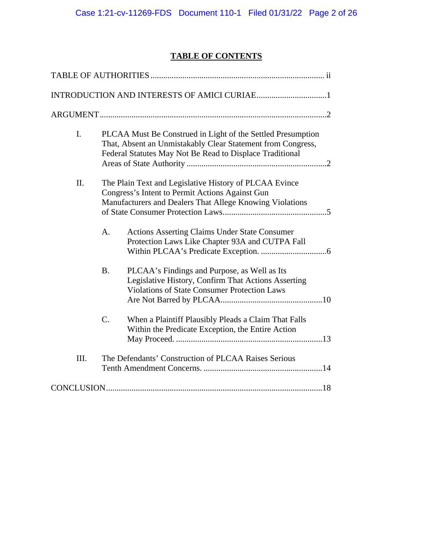# **TABLE OF CONTENTS**

| $\mathbf{I}$ . | PLCAA Must Be Construed in Light of the Settled Presumption<br>That, Absent an Unmistakably Clear Statement from Congress,<br>Federal Statutes May Not Be Read to Displace Traditional |
|----------------|----------------------------------------------------------------------------------------------------------------------------------------------------------------------------------------|
| II.            | The Plain Text and Legislative History of PLCAA Evince<br>Congress's Intent to Permit Actions Against Gun<br>Manufacturers and Dealers That Allege Knowing Violations                  |
|                | <b>Actions Asserting Claims Under State Consumer</b><br>A.<br>Protection Laws Like Chapter 93A and CUTPA Fall                                                                          |
|                | PLCAA's Findings and Purpose, as Well as Its<br><b>B.</b><br>Legislative History, Confirm That Actions Asserting<br>Violations of State Consumer Protection Laws                       |
|                | C.<br>When a Plaintiff Plausibly Pleads a Claim That Falls<br>Within the Predicate Exception, the Entire Action                                                                        |
| III.           | The Defendants' Construction of PLCAA Raises Serious                                                                                                                                   |
|                |                                                                                                                                                                                        |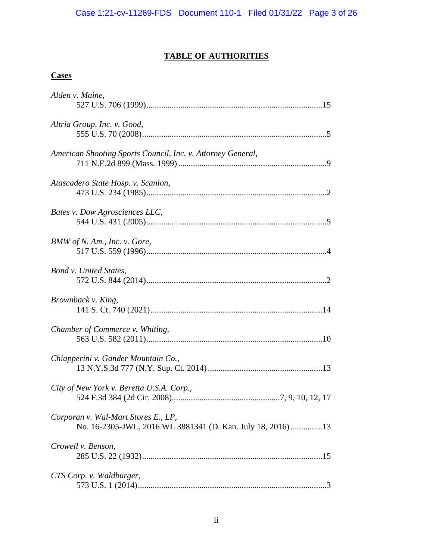# **TABLE OF AUTHORITIES**

## **Cases**

| Alden v. Maine,                                                                                    |
|----------------------------------------------------------------------------------------------------|
| Altria Group, Inc. v. Good,                                                                        |
| American Shooting Sports Council, Inc. v. Attorney General,                                        |
| Atascadero State Hosp. v. Scanlon,                                                                 |
| Bates v. Dow Agrosciences LLC,                                                                     |
| BMW of N. Am., Inc. v. Gore,                                                                       |
| Bond v. United States,                                                                             |
| Brownback v. King,                                                                                 |
| Chamber of Commerce v. Whiting,                                                                    |
| Chiapperini v. Gander Mountain Co.,                                                                |
| City of New York v. Beretta U.S.A. Corp.,                                                          |
| Corporan v. Wal-Mart Stores E., LP,<br>No. 16-2305-JWL, 2016 WL 3881341 (D. Kan. July 18, 2016) 13 |
| Crowell v. Benson,                                                                                 |
| CTS Corp. v. Waldburger,                                                                           |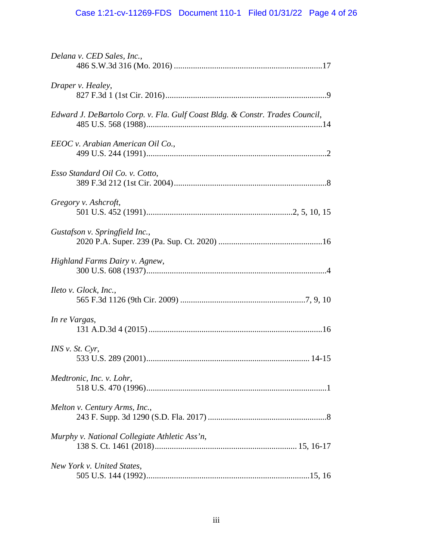# Case 1:21-cv-11269-FDS Document 110-1 Filed 01/31/22 Page 4 of 26

| Delana v. CED Sales, Inc.,                                                   |
|------------------------------------------------------------------------------|
| Draper v. Healey,                                                            |
| Edward J. DeBartolo Corp. v. Fla. Gulf Coast Bldg. & Constr. Trades Council, |
| EEOC v. Arabian American Oil Co.,                                            |
| Esso Standard Oil Co. v. Cotto,                                              |
| Gregory v. Ashcroft,                                                         |
| Gustafson v. Springfield Inc.,                                               |
| Highland Farms Dairy v. Agnew,                                               |
| Ileto v. Glock, Inc.,                                                        |
| In re Vargas,                                                                |
| <i>INS v. St. Cyr.</i>                                                       |
| Medtronic, Inc. v. Lohr,                                                     |
| Melton v. Century Arms, Inc.,                                                |
| Murphy v. National Collegiate Athletic Ass'n,                                |
| New York v. United States,                                                   |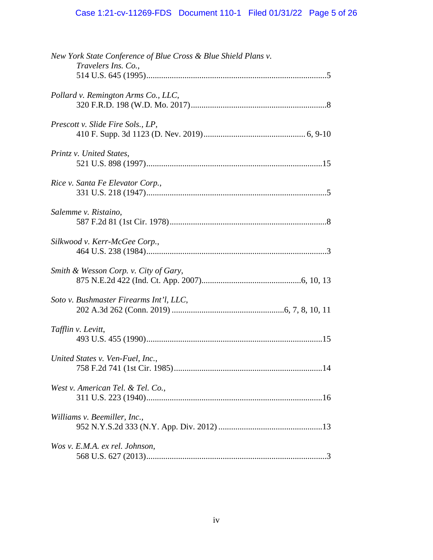| New York State Conference of Blue Cross & Blue Shield Plans v.<br>Travelers Ins. Co., |
|---------------------------------------------------------------------------------------|
| Pollard v. Remington Arms Co., LLC,                                                   |
| Prescott v. Slide Fire Sols., LP,                                                     |
| Printz v. United States,                                                              |
| Rice v. Santa Fe Elevator Corp.,                                                      |
| Salemme v. Ristaino,                                                                  |
| Silkwood v. Kerr-McGee Corp.,                                                         |
| Smith & Wesson Corp. v. City of Gary,                                                 |
| Soto v. Bushmaster Firearms Int'l, LLC,                                               |
| Tafflin v. Levitt,                                                                    |
| United States v. Ven-Fuel, Inc.,<br>.14                                               |
| West v. American Tel. & Tel. Co.,                                                     |
| Williams v. Beemiller, Inc.,                                                          |
| Wos v. E.M.A. ex rel. Johnson,                                                        |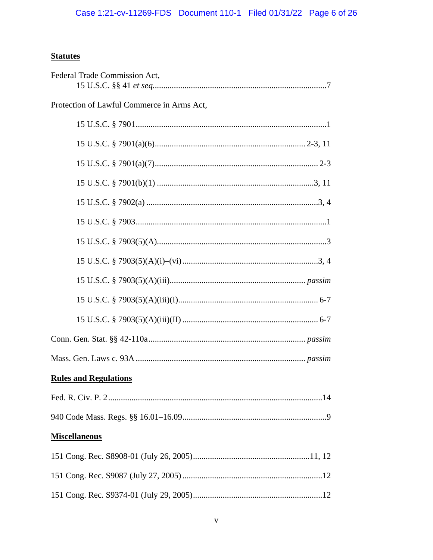# **Statutes**

| Federal Trade Commission Act,              |
|--------------------------------------------|
| Protection of Lawful Commerce in Arms Act, |
|                                            |
|                                            |
|                                            |
|                                            |
|                                            |
|                                            |
|                                            |
|                                            |
|                                            |
|                                            |
|                                            |
|                                            |
|                                            |
| <b>Rules and Regulations</b>               |
|                                            |
|                                            |
| <b>Miscellaneous</b>                       |
|                                            |
|                                            |
|                                            |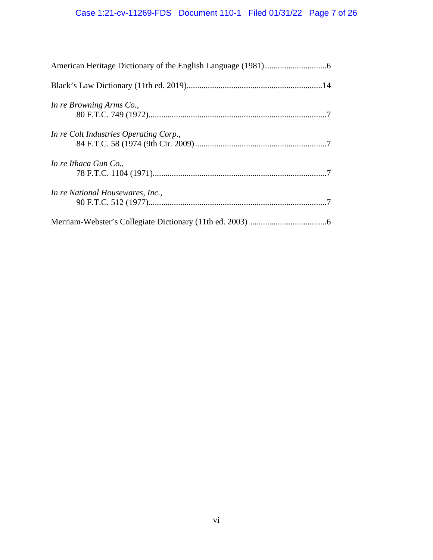| In re Browning Arms Co.,               |
|----------------------------------------|
| In re Colt Industries Operating Corp., |
| In re Ithaca Gun Co.,                  |
| In re National Housewares, Inc.,       |
|                                        |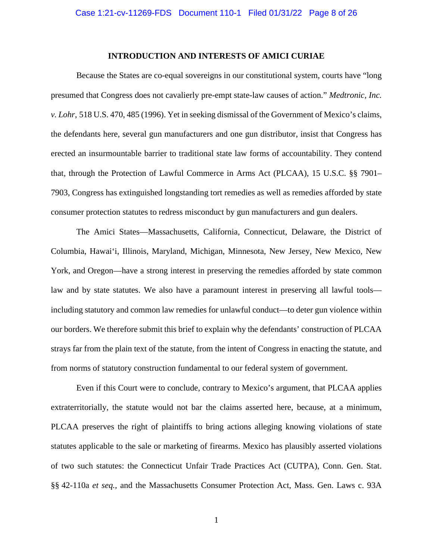#### **INTRODUCTION AND INTERESTS OF AMICI CURIAE**

Because the States are co-equal sovereigns in our constitutional system, courts have "long presumed that Congress does not cavalierly pre-empt state-law causes of action." *Medtronic, Inc. v. Lohr*, 518 U.S. 470, 485 (1996). Yet in seeking dismissal of the Government of Mexico's claims, the defendants here, several gun manufacturers and one gun distributor, insist that Congress has erected an insurmountable barrier to traditional state law forms of accountability. They contend that, through the Protection of Lawful Commerce in Arms Act (PLCAA), 15 U.S.C. §§ 7901– 7903, Congress has extinguished longstanding tort remedies as well as remedies afforded by state consumer protection statutes to redress misconduct by gun manufacturers and gun dealers.

The Amici States—Massachusetts, California, Connecticut, Delaware, the District of Columbia, Hawai'i, Illinois, Maryland, Michigan, Minnesota, New Jersey, New Mexico, New York, and Oregon—have a strong interest in preserving the remedies afforded by state common law and by state statutes. We also have a paramount interest in preserving all lawful tools including statutory and common law remedies for unlawful conduct—to deter gun violence within our borders. We therefore submit this brief to explain why the defendants' construction of PLCAA strays far from the plain text of the statute, from the intent of Congress in enacting the statute, and from norms of statutory construction fundamental to our federal system of government.

Even if this Court were to conclude, contrary to Mexico's argument, that PLCAA applies extraterritorially, the statute would not bar the claims asserted here, because, at a minimum, PLCAA preserves the right of plaintiffs to bring actions alleging knowing violations of state statutes applicable to the sale or marketing of firearms. Mexico has plausibly asserted violations of two such statutes: the Connecticut Unfair Trade Practices Act (CUTPA), Conn. Gen. Stat. §§ 42-110a *et seq.*, and the Massachusetts Consumer Protection Act, Mass. Gen. Laws c. 93A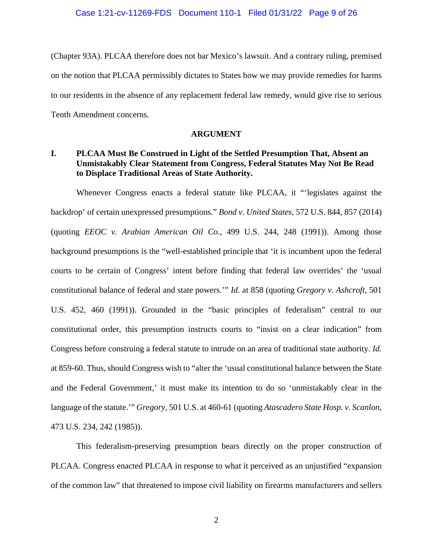(Chapter 93A). PLCAA therefore does not bar Mexico's lawsuit. And a contrary ruling, premised on the notion that PLCAA permissibly dictates to States how we may provide remedies for harms to our residents in the absence of any replacement federal law remedy, would give rise to serious Tenth Amendment concerns.

### **ARGUMENT**

## **I. PLCAA Must Be Construed in Light of the Settled Presumption That, Absent an Unmistakably Clear Statement from Congress, Federal Statutes May Not Be Read to Displace Traditional Areas of State Authority.**

Whenever Congress enacts a federal statute like PLCAA, it "'legislates against the backdrop' of certain unexpressed presumptions." *Bond v. United States*, 572 U.S. 844, 857 (2014) (quoting *EEOC v. Arabian American Oil Co.*, 499 U.S. 244, 248 (1991)). Among those background presumptions is the "well-established principle that 'it is incumbent upon the federal courts to be certain of Congress' intent before finding that federal law overrides' the 'usual constitutional balance of federal and state powers.'" *Id.* at 858 (quoting *Gregory v. Ashcroft*, 501 U.S. 452, 460 (1991)). Grounded in the "basic principles of federalism" central to our constitutional order, this presumption instructs courts to "insist on a clear indication" from Congress before construing a federal statute to intrude on an area of traditional state authority. *Id.* at 859-60. Thus, should Congress wish to "alter the 'usual constitutional balance between the State and the Federal Government,' it must make its intention to do so 'unmistakably clear in the language of the statute.'" *Gregory*, 501 U.S. at 460-61 (quoting *Atascadero State Hosp. v. Scanlon*, 473 U.S. 234, 242 (1985)).

This federalism-preserving presumption bears directly on the proper construction of PLCAA. Congress enacted PLCAA in response to what it perceived as an unjustified "expansion of the common law" that threatened to impose civil liability on firearms manufacturers and sellers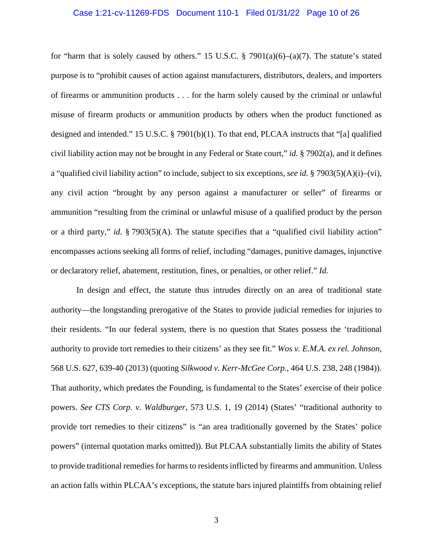#### Case 1:21-cv-11269-FDS Document 110-1 Filed 01/31/22 Page 10 of 26

for "harm that is solely caused by others." 15 U.S.C.  $\S$  7901(a)(6)–(a)(7). The statute's stated purpose is to "prohibit causes of action against manufacturers, distributors, dealers, and importers of firearms or ammunition products . . . for the harm solely caused by the criminal or unlawful misuse of firearm products or ammunition products by others when the product functioned as designed and intended." 15 U.S.C. § 7901(b)(1). To that end, PLCAA instructs that "[a] qualified civil liability action may not be brought in any Federal or State court," *id.* § 7902(a), and it defines a "qualified civil liability action" to include, subject to six exceptions, *see id.* § 7903(5)(A)(i)–(vi), any civil action "brought by any person against a manufacturer or seller" of firearms or ammunition "resulting from the criminal or unlawful misuse of a qualified product by the person or a third party," *id.* § 7903(5)(A). The statute specifies that a "qualified civil liability action" encompasses actions seeking all forms of relief, including "damages, punitive damages, injunctive or declaratory relief, abatement, restitution, fines, or penalties, or other relief." *Id.*

In design and effect, the statute thus intrudes directly on an area of traditional state authority—the longstanding prerogative of the States to provide judicial remedies for injuries to their residents. "In our federal system, there is no question that States possess the 'traditional authority to provide tort remedies to their citizens' as they see fit." *Wos v. E.M.A. ex rel. Johnson*, 568 U.S. 627, 639-40 (2013) (quoting *Silkwood v. Kerr-McGee Corp.*, 464 U.S. 238, 248 (1984)). That authority, which predates the Founding, is fundamental to the States' exercise of their police powers. *See CTS Corp. v. Waldburger*, 573 U.S. 1, 19 (2014) (States' "traditional authority to provide tort remedies to their citizens" is "an area traditionally governed by the States' police powers" (internal quotation marks omitted)). But PLCAA substantially limits the ability of States to provide traditional remedies for harms to residents inflicted by firearms and ammunition. Unless an action falls within PLCAA's exceptions, the statute bars injured plaintiffs from obtaining relief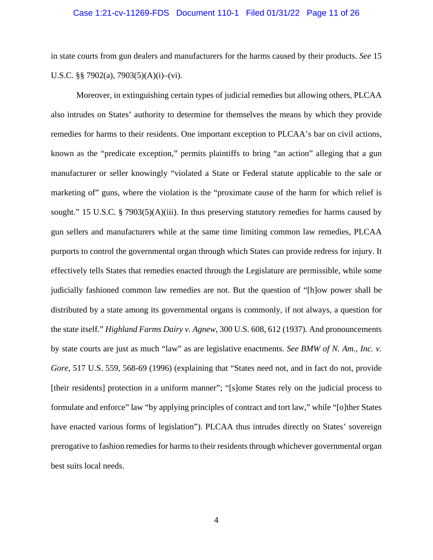#### Case 1:21-cv-11269-FDS Document 110-1 Filed 01/31/22 Page 11 of 26

in state courts from gun dealers and manufacturers for the harms caused by their products. *See* 15 U.S.C. §§ 7902(a), 7903(5)(A)(i)–(vi).

Moreover, in extinguishing certain types of judicial remedies but allowing others, PLCAA also intrudes on States' authority to determine for themselves the means by which they provide remedies for harms to their residents. One important exception to PLCAA's bar on civil actions, known as the "predicate exception," permits plaintiffs to bring "an action" alleging that a gun manufacturer or seller knowingly "violated a State or Federal statute applicable to the sale or marketing of" guns, where the violation is the "proximate cause of the harm for which relief is sought." 15 U.S.C. § 7903(5)(A)(iii). In thus preserving statutory remedies for harms caused by gun sellers and manufacturers while at the same time limiting common law remedies, PLCAA purports to control the governmental organ through which States can provide redress for injury. It effectively tells States that remedies enacted through the Legislature are permissible, while some judicially fashioned common law remedies are not. But the question of "[h]ow power shall be distributed by a state among its governmental organs is commonly, if not always, a question for the state itself." *Highland Farms Dairy v. Agnew*, 300 U.S. 608, 612 (1937). And pronouncements by state courts are just as much "law" as are legislative enactments. *See BMW of N. Am., Inc. v. Gore*, 517 U.S. 559, 568-69 (1996) (explaining that "States need not, and in fact do not, provide [their residents] protection in a uniform manner"; "[s]ome States rely on the judicial process to formulate and enforce" law "by applying principles of contract and tort law," while "[o]ther States have enacted various forms of legislation"). PLCAA thus intrudes directly on States' sovereign prerogative to fashion remedies for harms to their residents through whichever governmental organ best suits local needs.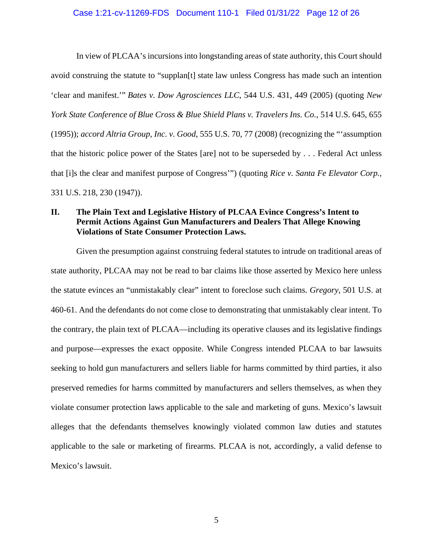#### Case 1:21-cv-11269-FDS Document 110-1 Filed 01/31/22 Page 12 of 26

In view of PLCAA's incursions into longstanding areas of state authority, this Court should avoid construing the statute to "supplan[t] state law unless Congress has made such an intention 'clear and manifest.'" *Bates v. Dow Agrosciences LLC*, 544 U.S. 431, 449 (2005) (quoting *New York State Conference of Blue Cross & Blue Shield Plans v. Travelers Ins. Co.*, 514 U.S. 645, 655 (1995)); *accord Altria Group, Inc. v. Good*, 555 U.S. 70, 77 (2008) (recognizing the "'assumption that the historic police power of the States [are] not to be superseded by . . . Federal Act unless that [i]s the clear and manifest purpose of Congress'") (quoting *Rice v. Santa Fe Elevator Corp.*, 331 U.S. 218, 230 (1947)).

## **II. The Plain Text and Legislative History of PLCAA Evince Congress's Intent to Permit Actions Against Gun Manufacturers and Dealers That Allege Knowing Violations of State Consumer Protection Laws.**

Given the presumption against construing federal statutes to intrude on traditional areas of state authority, PLCAA may not be read to bar claims like those asserted by Mexico here unless the statute evinces an "unmistakably clear" intent to foreclose such claims. *Gregory*, 501 U.S. at 460-61. And the defendants do not come close to demonstrating that unmistakably clear intent. To the contrary, the plain text of PLCAA—including its operative clauses and its legislative findings and purpose—expresses the exact opposite. While Congress intended PLCAA to bar lawsuits seeking to hold gun manufacturers and sellers liable for harms committed by third parties, it also preserved remedies for harms committed by manufacturers and sellers themselves, as when they violate consumer protection laws applicable to the sale and marketing of guns. Mexico's lawsuit alleges that the defendants themselves knowingly violated common law duties and statutes applicable to the sale or marketing of firearms. PLCAA is not, accordingly, a valid defense to Mexico's lawsuit.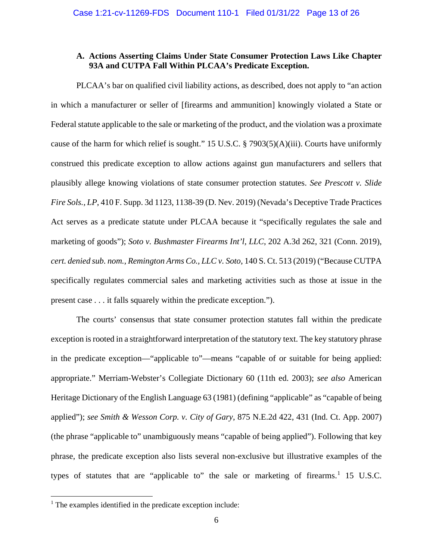## **A. Actions Asserting Claims Under State Consumer Protection Laws Like Chapter 93A and CUTPA Fall Within PLCAA's Predicate Exception.**

PLCAA's bar on qualified civil liability actions, as described, does not apply to "an action in which a manufacturer or seller of [firearms and ammunition] knowingly violated a State or Federal statute applicable to the sale or marketing of the product, and the violation was a proximate cause of the harm for which relief is sought." 15 U.S.C. § 7903(5)(A)(iii). Courts have uniformly construed this predicate exception to allow actions against gun manufacturers and sellers that plausibly allege knowing violations of state consumer protection statutes. *See Prescott v. Slide Fire Sols., LP*, 410 F. Supp. 3d 1123, 1138-39 (D. Nev. 2019) (Nevada's Deceptive Trade Practices Act serves as a predicate statute under PLCAA because it "specifically regulates the sale and marketing of goods"); *Soto v. Bushmaster Firearms Int'l, LLC*, 202 A.3d 262, 321 (Conn. 2019), *cert. denied sub. nom.*, *Remington Arms Co., LLC v. Soto*, 140 S. Ct. 513 (2019) ("Because CUTPA specifically regulates commercial sales and marketing activities such as those at issue in the present case . . . it falls squarely within the predicate exception.").

The courts' consensus that state consumer protection statutes fall within the predicate exception is rooted in a straightforward interpretation of the statutory text. The key statutory phrase in the predicate exception—"applicable to"—means "capable of or suitable for being applied: appropriate." Merriam-Webster's Collegiate Dictionary 60 (11th ed. 2003); *see also* American Heritage Dictionary of the English Language 63 (1981) (defining "applicable" as "capable of being applied"); *see Smith & Wesson Corp. v. City of Gary*, 875 N.E.2d 422, 431 (Ind. Ct. App. 2007) (the phrase "applicable to" unambiguously means "capable of being applied"). Following that key phrase, the predicate exception also lists several non-exclusive but illustrative examples of the types of statutes that are "applicable to" the sale or marketing of firearms.<sup>[1](#page-12-0)</sup> 15 U.S.C.

<span id="page-12-0"></span> $<sup>1</sup>$  The examples identified in the predicate exception include:</sup>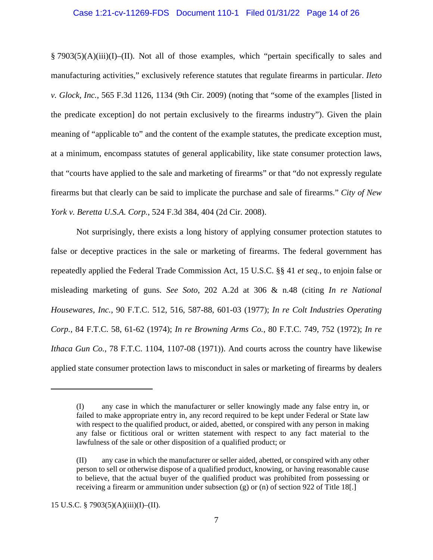#### Case 1:21-cv-11269-FDS Document 110-1 Filed 01/31/22 Page 14 of 26

§ 7903(5)(A)(iii)(I)–(II). Not all of those examples, which "pertain specifically to sales and manufacturing activities," exclusively reference statutes that regulate firearms in particular. *Ileto v. Glock, Inc.*, 565 F.3d 1126, 1134 (9th Cir. 2009) (noting that "some of the examples [listed in the predicate exception] do not pertain exclusively to the firearms industry"). Given the plain meaning of "applicable to" and the content of the example statutes, the predicate exception must, at a minimum, encompass statutes of general applicability, like state consumer protection laws, that "courts have applied to the sale and marketing of firearms" or that "do not expressly regulate firearms but that clearly can be said to implicate the purchase and sale of firearms." *City of New York v. Beretta U.S.A. Corp.*, 524 F.3d 384, 404 (2d Cir. 2008).

Not surprisingly, there exists a long history of applying consumer protection statutes to false or deceptive practices in the sale or marketing of firearms. The federal government has repeatedly applied the Federal Trade Commission Act, 15 U.S.C. §§ 41 *et seq.*, to enjoin false or misleading marketing of guns. *See Soto*, 202 A.2d at 306 & n.48 (citing *In re National Housewares, Inc.*, 90 F.T.C. 512, 516, 587-88, 601-03 (1977); *In re Colt Industries Operating Corp.*, 84 F.T.C. 58, 61-62 (1974); *In re Browning Arms Co.*, 80 F.T.C. 749, 752 (1972); *In re Ithaca Gun Co.*, 78 F.T.C. 1104, 1107-08 (1971)). And courts across the country have likewise applied state consumer protection laws to misconduct in sales or marketing of firearms by dealers

<sup>(</sup>I) any case in which the manufacturer or seller knowingly made any false entry in, or failed to make appropriate entry in, any record required to be kept under Federal or State law with respect to the qualified product, or aided, abetted, or conspired with any person in making any false or fictitious oral or written statement with respect to any fact material to the lawfulness of the sale or other disposition of a qualified product; or

<sup>(</sup>II) any case in which the manufacturer or seller aided, abetted, or conspired with any other person to sell or otherwise dispose of a qualified product, knowing, or having reasonable cause to believe, that the actual buyer of the qualified product was prohibited from possessing or receiving a firearm or ammunition under subsection (g) or (n) of section 922 of Title 18[.]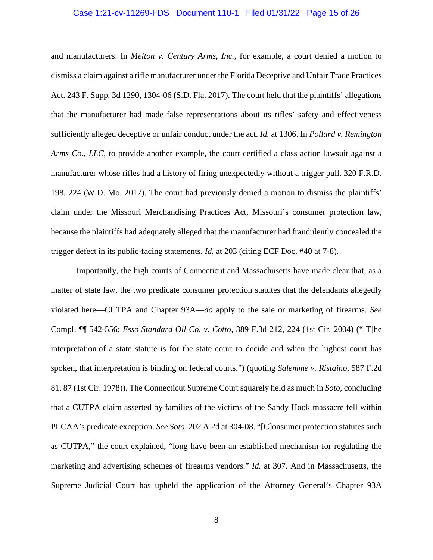#### Case 1:21-cv-11269-FDS Document 110-1 Filed 01/31/22 Page 15 of 26

and manufacturers. In *Melton v. Century Arms, Inc.*, for example, a court denied a motion to dismiss a claim against a rifle manufacturer under the Florida Deceptive and Unfair Trade Practices Act. 243 F. Supp. 3d 1290, 1304-06 (S.D. Fla. 2017). The court held that the plaintiffs' allegations that the manufacturer had made false representations about its rifles' safety and effectiveness sufficiently alleged deceptive or unfair conduct under the act. *Id.* at 1306. In *Pollard v. Remington Arms Co., LLC*, to provide another example, the court certified a class action lawsuit against a manufacturer whose rifles had a history of firing unexpectedly without a trigger pull. 320 F.R.D. 198, 224 (W.D. Mo. 2017). The court had previously denied a motion to dismiss the plaintiffs' claim under the Missouri Merchandising Practices Act, Missouri's consumer protection law, because the plaintiffs had adequately alleged that the manufacturer had fraudulently concealed the trigger defect in its public-facing statements. *Id.* at 203 (citing ECF Doc. #40 at 7-8).

Importantly, the high courts of Connecticut and Massachusetts have made clear that, as a matter of state law, the two predicate consumer protection statutes that the defendants allegedly violated here—CUTPA and Chapter 93A—*do* apply to the sale or marketing of firearms. *See*  Compl. ¶¶ 542-556; *Esso Standard Oil Co. v. Cotto*, 389 F.3d 212, 224 (1st Cir. 2004) ("[T]he interpretation of a state statute is for the state court to decide and when the highest court has spoken, that interpretation is binding on federal courts.") (quoting *Salemme v. Ristaino*, 587 F.2d 81, 87 (1st Cir. 1978)). The Connecticut Supreme Court squarely held as much in *Soto*, concluding that a CUTPA claim asserted by families of the victims of the Sandy Hook massacre fell within PLCAA's predicate exception. *See Soto*, 202 A.2d at 304-08. "[C]onsumer protection statutes such as CUTPA," the court explained, "long have been an established mechanism for regulating the marketing and advertising schemes of firearms vendors." *Id.* at 307. And in Massachusetts, the Supreme Judicial Court has upheld the application of the Attorney General's Chapter 93A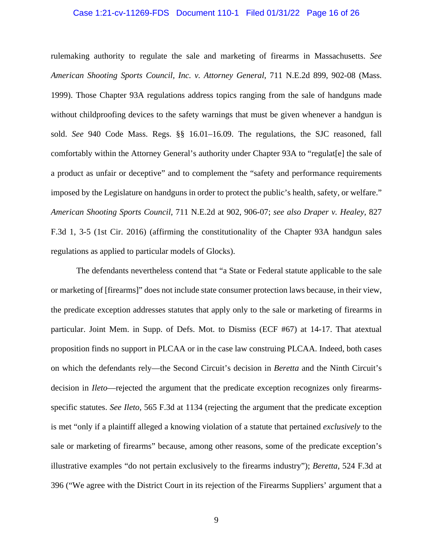#### Case 1:21-cv-11269-FDS Document 110-1 Filed 01/31/22 Page 16 of 26

rulemaking authority to regulate the sale and marketing of firearms in Massachusetts. *See American Shooting Sports Council, Inc. v. Attorney General*, 711 N.E.2d 899, 902-08 (Mass. 1999). Those Chapter 93A regulations address topics ranging from the sale of handguns made without childproofing devices to the safety warnings that must be given whenever a handgun is sold. *See* 940 Code Mass. Regs. §§ 16.01–16.09. The regulations, the SJC reasoned, fall comfortably within the Attorney General's authority under Chapter 93A to "regulat[e] the sale of a product as unfair or deceptive" and to complement the "safety and performance requirements imposed by the Legislature on handguns in order to protect the public's health, safety, or welfare." *American Shooting Sports Council*, 711 N.E.2d at 902, 906-07; *see also Draper v. Healey*, 827 F.3d 1, 3-5 (1st Cir. 2016) (affirming the constitutionality of the Chapter 93A handgun sales regulations as applied to particular models of Glocks).

The defendants nevertheless contend that "a State or Federal statute applicable to the sale or marketing of [firearms]" does not include state consumer protection laws because, in their view, the predicate exception addresses statutes that apply only to the sale or marketing of firearms in particular. Joint Mem. in Supp. of Defs. Mot. to Dismiss (ECF #67) at 14-17. That atextual proposition finds no support in PLCAA or in the case law construing PLCAA. Indeed, both cases on which the defendants rely—the Second Circuit's decision in *Beretta* and the Ninth Circuit's decision in *Ileto*—rejected the argument that the predicate exception recognizes only firearmsspecific statutes. *See Ileto*, 565 F.3d at 1134 (rejecting the argument that the predicate exception is met "only if a plaintiff alleged a knowing violation of a statute that pertained *exclusively* to the sale or marketing of firearms" because, among other reasons, some of the predicate exception's illustrative examples "do not pertain exclusively to the firearms industry"); *Beretta*, 524 F.3d at 396 ("We agree with the District Court in its rejection of the Firearms Suppliers' argument that a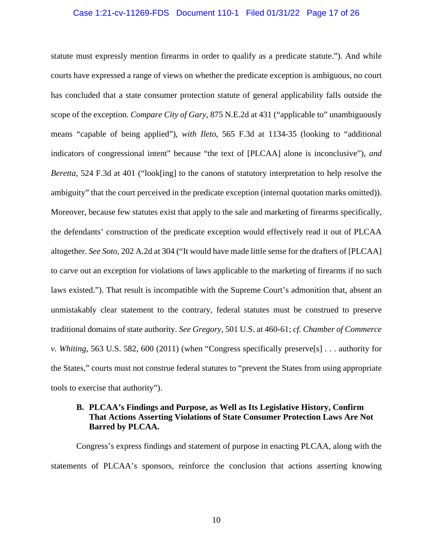#### Case 1:21-cv-11269-FDS Document 110-1 Filed 01/31/22 Page 17 of 26

statute must expressly mention firearms in order to qualify as a predicate statute."). And while courts have expressed a range of views on whether the predicate exception is ambiguous, no court has concluded that a state consumer protection statute of general applicability falls outside the scope of the exception. *Compare City of Gary*, 875 N.E.2d at 431 ("applicable to" unambiguously means "capable of being applied"), *with Ileto*, 565 F.3d at 1134-35 (looking to "additional indicators of congressional intent" because "the text of [PLCAA] alone is inconclusive"), *and Beretta*, 524 F.3d at 401 ("look[ing] to the canons of statutory interpretation to help resolve the ambiguity" that the court perceived in the predicate exception (internal quotation marks omitted)). Moreover, because few statutes exist that apply to the sale and marketing of firearms specifically, the defendants' construction of the predicate exception would effectively read it out of PLCAA altogether. *See Soto*, 202 A.2d at 304 ("It would have made little sense for the drafters of [PLCAA] to carve out an exception for violations of laws applicable to the marketing of firearms if no such laws existed."). That result is incompatible with the Supreme Court's admonition that, absent an unmistakably clear statement to the contrary, federal statutes must be construed to preserve traditional domains of state authority. *See Gregory*, 501 U.S. at 460-61; *cf. Chamber of Commerce v. Whiting*, 563 U.S. 582, 600 (2011) (when "Congress specifically preserve[s] . . . authority for the States," courts must not construe federal statutes to "prevent the States from using appropriate tools to exercise that authority").

## **B. PLCAA's Findings and Purpose, as Well as Its Legislative History, Confirm That Actions Asserting Violations of State Consumer Protection Laws Are Not Barred by PLCAA.**

Congress's express findings and statement of purpose in enacting PLCAA, along with the statements of PLCAA's sponsors, reinforce the conclusion that actions asserting knowing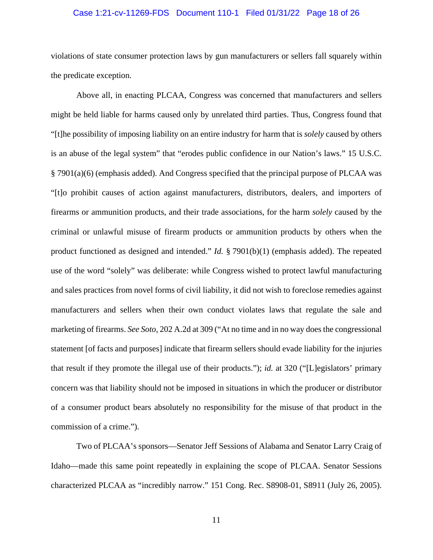#### Case 1:21-cv-11269-FDS Document 110-1 Filed 01/31/22 Page 18 of 26

violations of state consumer protection laws by gun manufacturers or sellers fall squarely within the predicate exception.

Above all, in enacting PLCAA, Congress was concerned that manufacturers and sellers might be held liable for harms caused only by unrelated third parties. Thus, Congress found that "[t]he possibility of imposing liability on an entire industry for harm that is *solely* caused by others is an abuse of the legal system" that "erodes public confidence in our Nation's laws." 15 U.S.C. § 7901(a)(6) (emphasis added). And Congress specified that the principal purpose of PLCAA was "[t]o prohibit causes of action against manufacturers, distributors, dealers, and importers of firearms or ammunition products, and their trade associations, for the harm *solely* caused by the criminal or unlawful misuse of firearm products or ammunition products by others when the product functioned as designed and intended." *Id.* § 7901(b)(1) (emphasis added). The repeated use of the word "solely" was deliberate: while Congress wished to protect lawful manufacturing and sales practices from novel forms of civil liability, it did not wish to foreclose remedies against manufacturers and sellers when their own conduct violates laws that regulate the sale and marketing of firearms. *See Soto*, 202 A.2d at 309 ("At no time and in no way does the congressional statement [of facts and purposes] indicate that firearm sellers should evade liability for the injuries that result if they promote the illegal use of their products."); *id.* at 320 ("[L]egislators' primary concern was that liability should not be imposed in situations in which the producer or distributor of a consumer product bears absolutely no responsibility for the misuse of that product in the commission of a crime.").

Two of PLCAA's sponsors—Senator Jeff Sessions of Alabama and Senator Larry Craig of Idaho—made this same point repeatedly in explaining the scope of PLCAA. Senator Sessions characterized PLCAA as "incredibly narrow." 151 Cong. Rec. S8908-01, S8911 (July 26, 2005).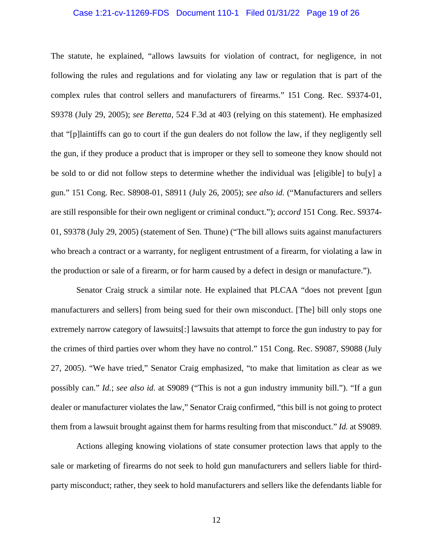#### Case 1:21-cv-11269-FDS Document 110-1 Filed 01/31/22 Page 19 of 26

The statute, he explained, "allows lawsuits for violation of contract, for negligence, in not following the rules and regulations and for violating any law or regulation that is part of the complex rules that control sellers and manufacturers of firearms." 151 Cong. Rec. S9374-01, S9378 (July 29, 2005); *see Beretta*, 524 F.3d at 403 (relying on this statement). He emphasized that "[p]laintiffs can go to court if the gun dealers do not follow the law, if they negligently sell the gun, if they produce a product that is improper or they sell to someone they know should not be sold to or did not follow steps to determine whether the individual was [eligible] to bu[y] a gun." 151 Cong. Rec. S8908-01, S8911 (July 26, 2005); *see also id.* ("Manufacturers and sellers are still responsible for their own negligent or criminal conduct."); *accord* 151 Cong. Rec. S9374- 01, S9378 (July 29, 2005) (statement of Sen. Thune) ("The bill allows suits against manufacturers who breach a contract or a warranty, for negligent entrustment of a firearm, for violating a law in the production or sale of a firearm, or for harm caused by a defect in design or manufacture.").

Senator Craig struck a similar note. He explained that PLCAA "does not prevent [gun manufacturers and sellers] from being sued for their own misconduct. [The] bill only stops one extremely narrow category of lawsuits[:] lawsuits that attempt to force the gun industry to pay for the crimes of third parties over whom they have no control." 151 Cong. Rec. S9087, S9088 (July 27, 2005). "We have tried," Senator Craig emphasized, "to make that limitation as clear as we possibly can." *Id.*; *see also id.* at S9089 ("This is not a gun industry immunity bill."). "If a gun dealer or manufacturer violates the law," Senator Craig confirmed, "this bill is not going to protect them from a lawsuit brought against them for harms resulting from that misconduct." *Id.* at S9089.

Actions alleging knowing violations of state consumer protection laws that apply to the sale or marketing of firearms do not seek to hold gun manufacturers and sellers liable for thirdparty misconduct; rather, they seek to hold manufacturers and sellers like the defendants liable for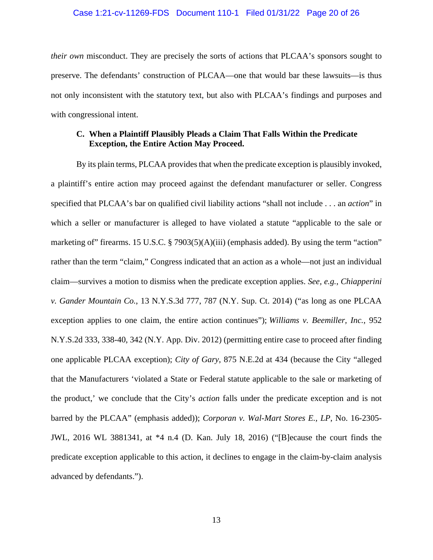#### Case 1:21-cv-11269-FDS Document 110-1 Filed 01/31/22 Page 20 of 26

*their own* misconduct. They are precisely the sorts of actions that PLCAA's sponsors sought to preserve. The defendants' construction of PLCAA—one that would bar these lawsuits—is thus not only inconsistent with the statutory text, but also with PLCAA's findings and purposes and with congressional intent.

## **C. When a Plaintiff Plausibly Pleads a Claim That Falls Within the Predicate Exception, the Entire Action May Proceed.**

By its plain terms, PLCAA provides that when the predicate exception is plausibly invoked, a plaintiff's entire action may proceed against the defendant manufacturer or seller. Congress specified that PLCAA's bar on qualified civil liability actions "shall not include . . . an *action*" in which a seller or manufacturer is alleged to have violated a statute "applicable to the sale or marketing of" firearms. 15 U.S.C. § 7903(5)(A)(iii) (emphasis added). By using the term "action" rather than the term "claim," Congress indicated that an action as a whole—not just an individual claim—survives a motion to dismiss when the predicate exception applies. *See, e.g.*, *Chiapperini v. Gander Mountain Co.*, 13 N.Y.S.3d 777, 787 (N.Y. Sup. Ct. 2014) ("as long as one PLCAA exception applies to one claim, the entire action continues"); *Williams v. Beemiller, Inc.*, 952 N.Y.S.2d 333, 338-40, 342 (N.Y. App. Div. 2012) (permitting entire case to proceed after finding one applicable PLCAA exception); *City of Gary*, 875 N.E.2d at 434 (because the City "alleged that the Manufacturers 'violated a State or Federal statute applicable to the sale or marketing of the product,' we conclude that the City's *action* falls under the predicate exception and is not barred by the PLCAA" (emphasis added)); *Corporan v. Wal-Mart Stores E., LP*, No. 16-2305- JWL, 2016 WL 3881341, at \*4 n.4 (D. Kan. July 18, 2016) ("[B]ecause the court finds the predicate exception applicable to this action, it declines to engage in the claim-by-claim analysis advanced by defendants.").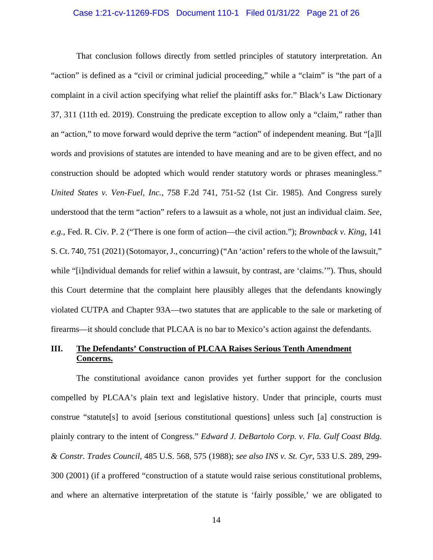#### Case 1:21-cv-11269-FDS Document 110-1 Filed 01/31/22 Page 21 of 26

That conclusion follows directly from settled principles of statutory interpretation. An "action" is defined as a "civil or criminal judicial proceeding," while a "claim" is "the part of a complaint in a civil action specifying what relief the plaintiff asks for." Black's Law Dictionary 37, 311 (11th ed. 2019). Construing the predicate exception to allow only a "claim," rather than an "action," to move forward would deprive the term "action" of independent meaning. But "[a]ll words and provisions of statutes are intended to have meaning and are to be given effect, and no construction should be adopted which would render statutory words or phrases meaningless." *United States v. Ven-Fuel, Inc.*, 758 F.2d 741, 751-52 (1st Cir. 1985). And Congress surely understood that the term "action" refers to a lawsuit as a whole, not just an individual claim. *See, e.g.*, Fed. R. Civ. P. 2 ("There is one form of action—the civil action."); *Brownback v. King*, 141 S. Ct. 740, 751 (2021) (Sotomayor, J., concurring) ("An 'action' refers to the whole of the lawsuit," while "[i]ndividual demands for relief within a lawsuit, by contrast, are 'claims.'"). Thus, should this Court determine that the complaint here plausibly alleges that the defendants knowingly violated CUTPA and Chapter 93A—two statutes that are applicable to the sale or marketing of firearms—it should conclude that PLCAA is no bar to Mexico's action against the defendants.

## **III. The Defendants' Construction of PLCAA Raises Serious Tenth Amendment Concerns.**

The constitutional avoidance canon provides yet further support for the conclusion compelled by PLCAA's plain text and legislative history. Under that principle, courts must construe "statute[s] to avoid [serious constitutional questions] unless such [a] construction is plainly contrary to the intent of Congress." *Edward J. DeBartolo Corp. v. Fla. Gulf Coast Bldg. & Constr. Trades Council*, 485 U.S. 568, 575 (1988); *see also INS v. St. Cyr*, 533 U.S. 289, 299- 300 (2001) (if a proffered "construction of a statute would raise serious constitutional problems, and where an alternative interpretation of the statute is 'fairly possible,' we are obligated to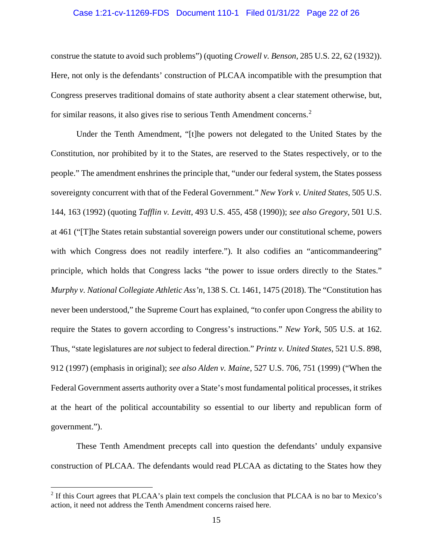#### Case 1:21-cv-11269-FDS Document 110-1 Filed 01/31/22 Page 22 of 26

construe the statute to avoid such problems") (quoting *Crowell v. Benson*, 285 U.S. 22, 62 (1932)). Here, not only is the defendants' construction of PLCAA incompatible with the presumption that Congress preserves traditional domains of state authority absent a clear statement otherwise, but, for similar reasons, it also gives rise to serious Tenth Amendment concerns. [2](#page-21-0)

Under the Tenth Amendment, "[t]he powers not delegated to the United States by the Constitution, nor prohibited by it to the States, are reserved to the States respectively, or to the people." The amendment enshrines the principle that, "under our federal system, the States possess sovereignty concurrent with that of the Federal Government." *New York v. United States*, 505 U.S. 144, 163 (1992) (quoting *Tafflin v. Levitt*, 493 U.S. 455, 458 (1990)); *see also Gregory*, 501 U.S. at 461 ("[T]he States retain substantial sovereign powers under our constitutional scheme, powers with which Congress does not readily interfere."). It also codifies an "anticommandeering" principle, which holds that Congress lacks "the power to issue orders directly to the States." *Murphy v. National Collegiate Athletic Ass'n*, 138 S. Ct. 1461, 1475 (2018). The "Constitution has never been understood," the Supreme Court has explained, "to confer upon Congress the ability to require the States to govern according to Congress's instructions." *New York*, 505 U.S. at 162. Thus, "state legislatures are *not* subject to federal direction." *Printz v. United States*, 521 U.S. 898, 912 (1997) (emphasis in original); *see also Alden v. Maine*, 527 U.S. 706, 751 (1999) ("When the Federal Government asserts authority over a State's most fundamental political processes, it strikes at the heart of the political accountability so essential to our liberty and republican form of government.").

These Tenth Amendment precepts call into question the defendants' unduly expansive construction of PLCAA. The defendants would read PLCAA as dictating to the States how they

<span id="page-21-0"></span><sup>&</sup>lt;sup>2</sup> If this Court agrees that PLCAA's plain text compels the conclusion that PLCAA is no bar to Mexico's action, it need not address the Tenth Amendment concerns raised here.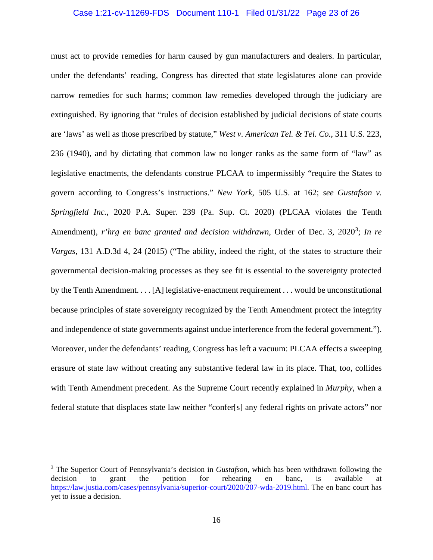#### Case 1:21-cv-11269-FDS Document 110-1 Filed 01/31/22 Page 23 of 26

must act to provide remedies for harm caused by gun manufacturers and dealers. In particular, under the defendants' reading, Congress has directed that state legislatures alone can provide narrow remedies for such harms; common law remedies developed through the judiciary are extinguished. By ignoring that "rules of decision established by judicial decisions of state courts are 'laws' as well as those prescribed by statute," *West v. American Tel. & Tel. Co.*, 311 U.S. 223, 236 (1940), and by dictating that common law no longer ranks as the same form of "law" as legislative enactments, the defendants construe PLCAA to impermissibly "require the States to govern according to Congress's instructions." *New York*, 505 U.S. at 162; *see Gustafson v. Springfield Inc.*, 2020 P.A. Super. 239 (Pa. Sup. Ct. 2020) (PLCAA violates the Tenth Amendment), *r'hrg en banc granted and decision withdrawn*, Order of Dec. [3](#page-22-0), 2020<sup>3</sup>; In re *Vargas*, 131 A.D.3d 4, 24 (2015) ("The ability, indeed the right, of the states to structure their governmental decision-making processes as they see fit is essential to the sovereignty protected by the Tenth Amendment. . . . [A] legislative-enactment requirement . . . would be unconstitutional because principles of state sovereignty recognized by the Tenth Amendment protect the integrity and independence of state governments against undue interference from the federal government."). Moreover, under the defendants' reading, Congress has left a vacuum: PLCAA effects a sweeping erasure of state law without creating any substantive federal law in its place. That, too, collides with Tenth Amendment precedent. As the Supreme Court recently explained in *Murphy*, when a federal statute that displaces state law neither "confer[s] any federal rights on private actors" nor

<span id="page-22-0"></span><sup>3</sup> The Superior Court of Pennsylvania's decision in *Gustafson*, which has been withdrawn following the decision to grant the petition for rehearing en banc, is available at [https://law.justia.com/cases/pennsylvania/superior-court/2020/207-wda-2019.html.](https://urldefense.com/v3/__https:/law.justia.com/cases/pennsylvania/superior-court/2020/207-wda-2019.html__;!!CUhgQOZqV7M!3qLUKBTOj_Gca5yXPmKopuPk3zVD8L0qK01zEVzhDrtWKHuur0P30ODIY48W4s5KBi_fYg$) The en banc court has yet to issue a decision.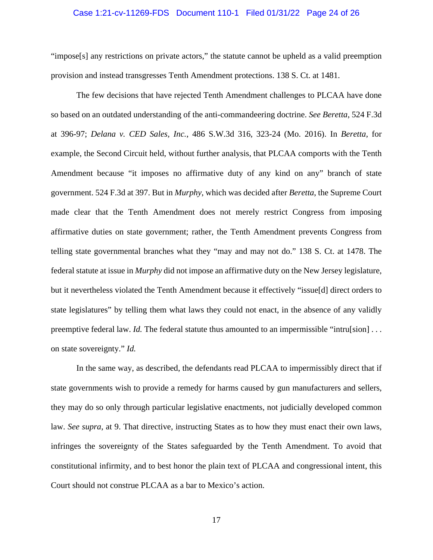#### Case 1:21-cv-11269-FDS Document 110-1 Filed 01/31/22 Page 24 of 26

"impose[s] any restrictions on private actors," the statute cannot be upheld as a valid preemption provision and instead transgresses Tenth Amendment protections. 138 S. Ct. at 1481.

The few decisions that have rejected Tenth Amendment challenges to PLCAA have done so based on an outdated understanding of the anti-commandeering doctrine. *See Beretta*, 524 F.3d at 396-97; *Delana v. CED Sales, Inc.*, 486 S.W.3d 316, 323-24 (Mo. 2016). In *Beretta*, for example, the Second Circuit held, without further analysis, that PLCAA comports with the Tenth Amendment because "it imposes no affirmative duty of any kind on any" branch of state government. 524 F.3d at 397. But in *Murphy*, which was decided after *Beretta*, the Supreme Court made clear that the Tenth Amendment does not merely restrict Congress from imposing affirmative duties on state government; rather, the Tenth Amendment prevents Congress from telling state governmental branches what they "may and may not do." 138 S. Ct. at 1478. The federal statute at issue in *Murphy* did not impose an affirmative duty on the New Jersey legislature, but it nevertheless violated the Tenth Amendment because it effectively "issue[d] direct orders to state legislatures" by telling them what laws they could not enact, in the absence of any validly preemptive federal law. *Id*. The federal statute thus amounted to an impermissible "intru[sion]... on state sovereignty." *Id.* 

In the same way, as described, the defendants read PLCAA to impermissibly direct that if state governments wish to provide a remedy for harms caused by gun manufacturers and sellers, they may do so only through particular legislative enactments, not judicially developed common law. *See supra*, at 9. That directive, instructing States as to how they must enact their own laws, infringes the sovereignty of the States safeguarded by the Tenth Amendment. To avoid that constitutional infirmity, and to best honor the plain text of PLCAA and congressional intent, this Court should not construe PLCAA as a bar to Mexico's action.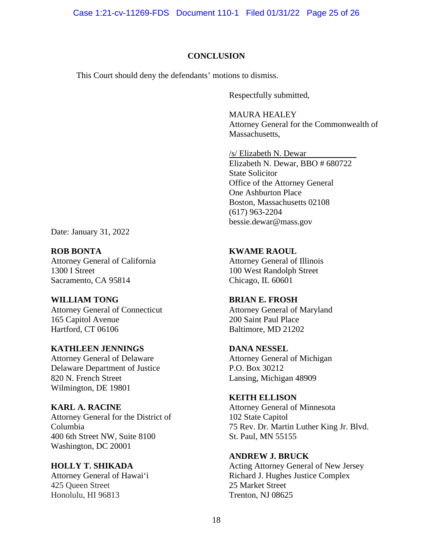Case 1:21-cv-11269-FDS Document 110-1 Filed 01/31/22 Page 25 of 26

#### **CONCLUSION**

This Court should deny the defendants' motions to dismiss.

Respectfully submitted,

MAURA HEALEY Attorney General for the Commonwealth of Massachusetts.

/s/ Elizabeth N. Dewar Elizabeth N. Dewar, BBO # 680722 State Solicitor Office of the Attorney General One Ashburton Place Boston, Massachusetts 02108 (617) 963-2204 bessie.dewar@mass.gov

Date: January 31, 2022

**ROB BONTA** Attorney General of California 1300 I Street Sacramento, CA 95814

**WILLIAM TONG** Attorney General of Connecticut 165 Capitol Avenue Hartford, CT 06106

## **KATHLEEN JENNINGS** Attorney General of Delaware Delaware Department of Justice 820 N. French Street Wilmington, DE 19801

**KARL A. RACINE** Attorney General for the District of Columbia 400 6th Street NW, Suite 8100 Washington, DC 20001

**HOLLY T. SHIKADA** Attorney General of Hawai'i 425 Queen Street Honolulu, HI 96813

**KWAME RAOUL**

Attorney General of Illinois 100 West Randolph Street Chicago, IL 60601

## **BRIAN E. FROSH**

Attorney General of Maryland 200 Saint Paul Place Baltimore, MD 21202

#### **DANA NESSEL**

Attorney General of Michigan P.O. Box 30212 Lansing, Michigan 48909

## **KEITH ELLISON**

Attorney General of Minnesota 102 State Capitol 75 Rev. Dr. Martin Luther King Jr. Blvd. St. Paul, MN 55155

#### **ANDREW J. BRUCK**

Acting Attorney General of New Jersey Richard J. Hughes Justice Complex 25 Market Street Trenton, NJ 08625